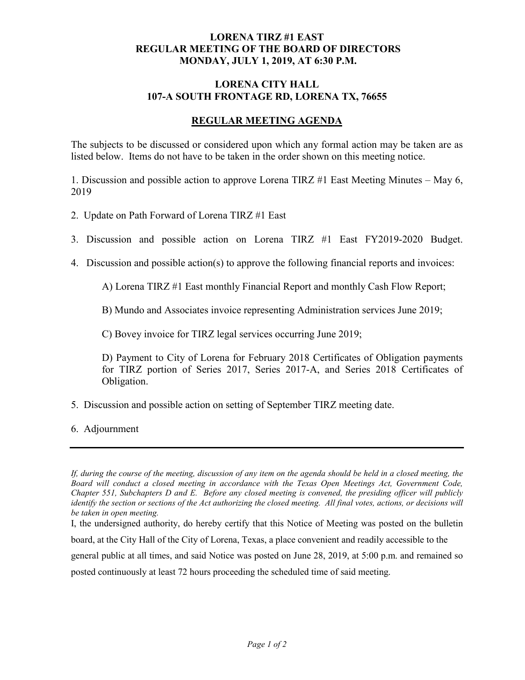## **LORENA TIRZ #1 EAST REGULAR MEETING OF THE BOARD OF DIRECTORS MONDAY, JULY 1, 2019, AT 6:30 P.M.**

## **LORENA CITY HALL 107-A SOUTH FRONTAGE RD, LORENA TX, 76655**

## **REGULAR MEETING AGENDA**

The subjects to be discussed or considered upon which any formal action may be taken are as listed below. Items do not have to be taken in the order shown on this meeting notice.

1. Discussion and possible action to approve Lorena TIRZ #1 East Meeting Minutes – May 6, 2019

- 2. Update on Path Forward of Lorena TIRZ #1 East
- 3. Discussion and possible action on Lorena TIRZ #1 East FY2019-2020 Budget.
- 4. Discussion and possible action(s) to approve the following financial reports and invoices:

A) Lorena TIRZ #1 East monthly Financial Report and monthly Cash Flow Report;

B) Mundo and Associates invoice representing Administration services June 2019;

C) Bovey invoice for TIRZ legal services occurring June 2019;

D) Payment to City of Lorena for February 2018 Certificates of Obligation payments for TIRZ portion of Series 2017, Series 2017-A, and Series 2018 Certificates of Obligation.

5. Discussion and possible action on setting of September TIRZ meeting date.

6. Adjournment

I, the undersigned authority, do hereby certify that this Notice of Meeting was posted on the bulletin

board, at the City Hall of the City of Lorena, Texas, a place convenient and readily accessible to the

general public at all times, and said Notice was posted on June 28, 2019, at 5:00 p.m. and remained so

posted continuously at least 72 hours proceeding the scheduled time of said meeting.

*If, during the course of the meeting, discussion of any item on the agenda should be held in a closed meeting, the Board will conduct a closed meeting in accordance with the Texas Open Meetings Act, Government Code, Chapter 551, Subchapters D and E. Before any closed meeting is convened, the presiding officer will publicly identify the section or sections of the Act authorizing the closed meeting. All final votes, actions, or decisions will be taken in open meeting.*